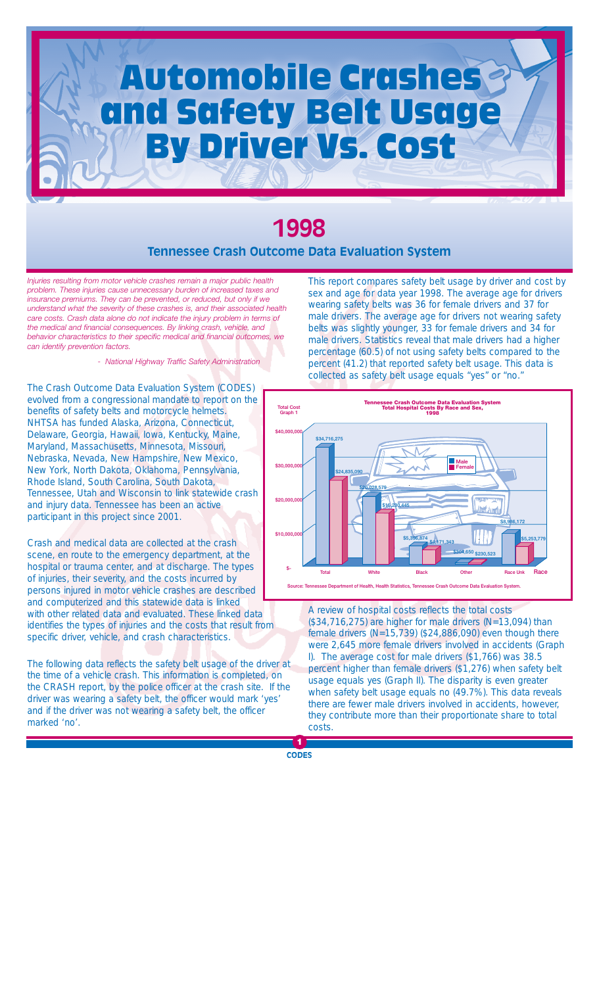# **Automobile Crashes** and Safety Belt Usage **By Driver Vs. Cost**

## **1998 Tennessee Crash Outcome Data Evaluation System**

*Injuries resulting from motor vehicle crashes remain a major public health problem. These injuries cause unnecessary burden of increased taxes and insurance premiums. They can be prevented, or reduced, but only if we understand what the severity of these crashes is, and their associated health care costs. Crash data alone do not indicate the injury problem in terms of the medical and financial consequences. By linking crash, vehicle, and behavior characteristics to their specific medical and financial outcomes, we can identify prevention factors.*

*- National Highway Traffic Safety Administration*

The Crash Outcome Data Evaluation System (CODES) evolved from a congressional mandate to report on the benefits of safety belts and motorcycle helmets. NHTSA has funded Alaska, Arizona, Connecticut, Delaware, Georgia, Hawaii, Iowa, Kentucky, Maine, Maryland, Massachusetts, Minnesota, Missouri, Nebraska, Nevada, New Hampshire, New Mexico, New York, North Dakota, Oklahoma, Pennsylvania, Rhode Island, South Carolina, South Dakota, Tennessee, Utah and Wisconsin to link statewide crash and injury data. Tennessee has been an active participant in this project since 2001.

Crash and medical data are collected at the crash scene, en route to the emergency department, at the hospital or trauma center, and at discharge. The types of injuries, their severity, and the costs incurred by persons injured in motor vehicle crashes are described and computerized and this statewide data is linked with other related data and evaluated. These linked data identifies the types of injuries and the costs that result from specific driver, vehicle, and crash characteristics.

The following data reflects the safety belt usage of the driver at the time of a vehicle crash. This information is completed, on the CRASH report, by the police officer at the crash site. If the driver was wearing a safety belt, the officer would mark 'yes' and if the driver was not wearing a safety belt, the officer marked 'no'.

This report compares safety belt usage by driver and cost by sex and age for data year 1998. The average age for drivers wearing safety belts was 36 for female drivers and 37 for male drivers. The average age for drivers not wearing safety belts was slightly younger, 33 for female drivers and 34 for male drivers. Statistics reveal that male drivers had a higher percentage (60.5) of not using safety belts compared to the percent (41.2) that reported safety belt usage. This data is collected as safety belt usage equals "yes" or "no."



A review of hospital costs reflects the total costs  $($34,716,275)$  are higher for male drivers  $(N=13,094)$  than female drivers (N=15,739) (\$24,886,090) even though there were 2,645 more female drivers involved in accidents (Graph I). The average cost for male drivers (\$1,766) was 38.5 percent higher than female drivers (\$1,276) when safety belt usage equals yes (Graph II). The disparity is even greater when safety belt usage equals no (49.7%). This data reveals there are fewer male drivers involved in accidents, however, they contribute more than their proportionate share to total costs.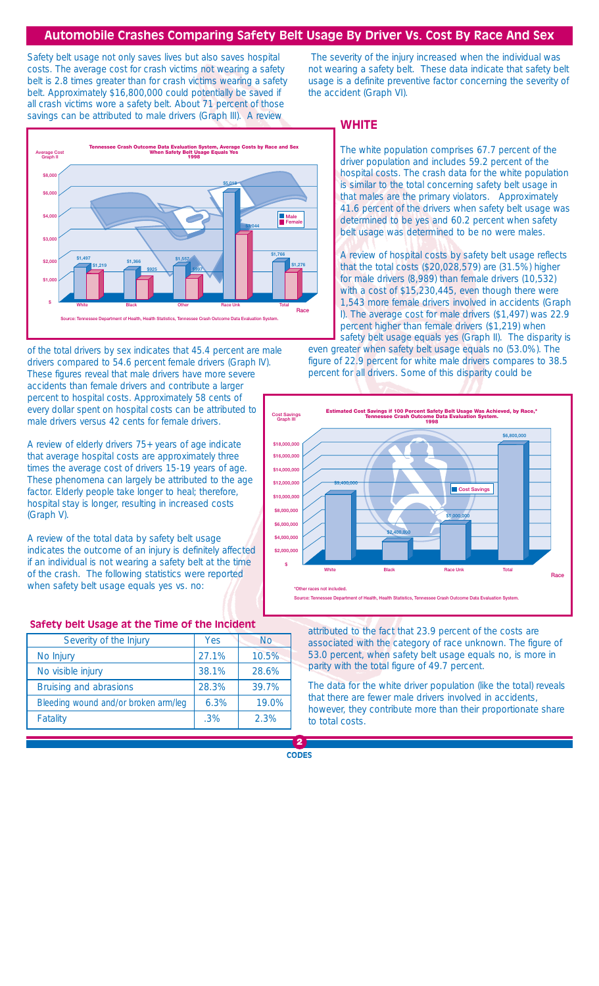#### **Automobile Crashes Comparing Safety Belt Usage By Driver Vs. Cost By Race And Sex**

Safety belt usage not only saves lives but also saves hospital costs. The average cost for crash victims not wearing a safety belt is 2.8 times greater than for crash victims wearing a safety belt. Approximately \$16,800,000 could potentially be saved if all crash victims wore a safety belt. About 71 percent of those savings can be attributed to male drivers (Graph III). A review



of the total drivers by sex indicates that 45.4 percent are male drivers compared to 54.6 percent female drivers (Graph IV). These figures reveal that male drivers have more severe accidents than female drivers and contribute a larger percent to hospital costs. Approximately 58 cents of every dollar spent on hospital costs can be attributed to male drivers versus 42 cents for female drivers.

A review of elderly drivers 75+ years of age indicate that average hospital costs are approximately three times the average cost of drivers 15-19 years of age. These phenomena can largely be attributed to the age factor. Elderly people take longer to heal; therefore, hospital stay is longer, resulting in increased costs (Graph V).

A review of the total data by safety belt usage indicates the outcome of an injury is definitely affected if an individual is not wearing a safety belt at the time of the crash. The following statistics were reported when safety belt usage equals yes vs. no:

#### **Safety belt Usage at the Time of the Incident**

| Severity of the Injury               | Yes   | <b>No</b> |
|--------------------------------------|-------|-----------|
| No Injury                            | 27.1% | 10.5%     |
| No visible injury                    | 38.1% | 28.6%     |
| Bruising and abrasions               | 28.3% | 39.7%     |
| Bleeding wound and/or broken arm/leg | 6.3%  | 19.0%     |
| Fatality                             | .3%   | 2.3%      |

The severity of the injury increased when the individual was not wearing a safety belt. These data indicate that safety belt usage is a definite preventive factor concerning the severity of the accident (Graph VI).

#### **WHITE**

The white population comprises 67.7 percent of the driver population and includes 59.2 percent of the hospital costs. The crash data for the white population is similar to the total concerning safety belt usage in that males are the primary violators. Approximately 41.6 percent of the drivers when safety belt usage was determined to be yes and 60.2 percent when safety belt usage was determined to be no were males.

A review of hospital costs by safety belt usage reflects that the total costs (\$20,028,579) are (31.5%) higher for male drivers (8,989) than female drivers (10,532) with a cost of \$15,230,445, even though there were 1,543 more female drivers involved in accidents (Graph I). The average cost for male drivers (\$1,497) was 22.9 percent higher than female drivers (\$1,219) when safety belt usage equals yes (Graph II). The disparity is

even greater when safety belt usage equals no (53.0%). The figure of 22.9 percent for white male drivers compares to 38.5 percent for all drivers. Some of this disparity could be



attributed to the fact that 23.9 percent of the costs are associated with the category of race unknown. The figure of 53.0 percent, when safety belt usage equals no, is more in parity with the total figure of 49.7 percent.

The data for the white driver population (like the total) reveals that there are fewer male drivers involved in accidents, however, they contribute more than their proportionate share to total costs.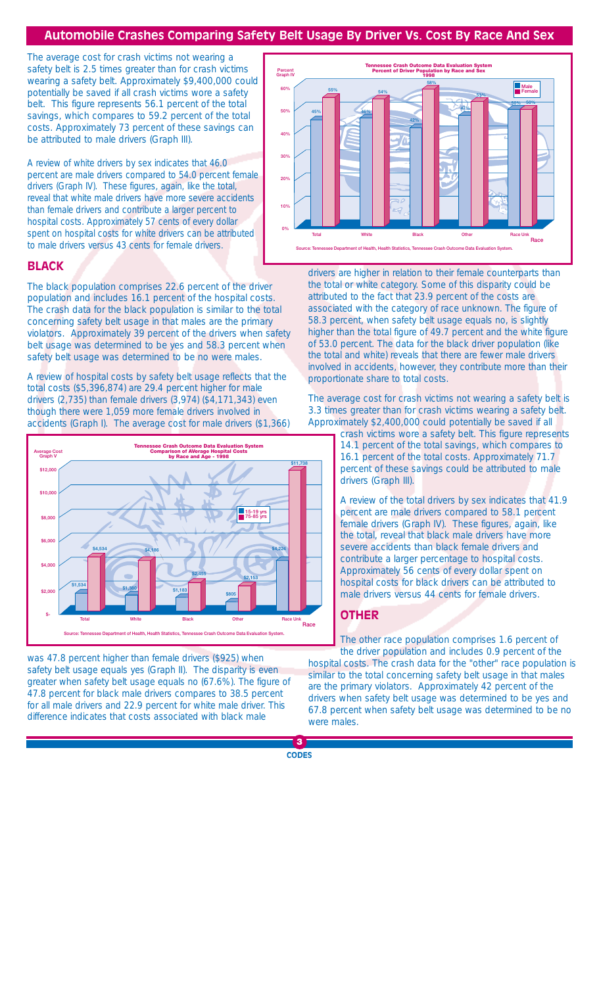### **Automobile Crashes Comparing Safety Belt Usage By Driver Vs. Cost By Race And Sex**

The average cost for crash victims not wearing a safety belt is 2.5 times greater than for crash victims wearing a safety belt. Approximately \$9,400,000 could potentially be saved if all crash victims wore a safety belt. This figure represents 56.1 percent of the total savings, which compares to 59.2 percent of the total costs. Approximately 73 percent of these savings can be attributed to male drivers (Graph III).

A review of white drivers by sex indicates that 46.0 percent are male drivers compared to 54.0 percent female drivers (Graph IV). These figures, again, like the total, reveal that white male drivers have more severe accidents than female drivers and contribute a larger percent to hospital costs. Approximately 57 cents of every dollar spent on hospital costs for white drivers can be attributed to male drivers versus 43 cents for female drivers.

#### **BLACK**

The black population comprises 22.6 percent of the driver population and includes 16.1 percent of the hospital costs. The crash data for the black population is similar to the total concerning safety belt usage in that males are the primary violators. Approximately 39 percent of the drivers when safety belt usage was determined to be yes and 58.3 percent when safety belt usage was determined to be no were males.

A review of hospital costs by safety belt usage reflects that the total costs (\$5,396,874) are 29.4 percent higher for male drivers (2,735) than female drivers (3,974) (\$4,171,343) even though there were 1,059 more female drivers involved in accidents (Graph I). The average cost for male drivers (\$1,366)



was 47.8 percent higher than female drivers (\$925) when safety belt usage equals yes (Graph II). The disparity is even greater when safety belt usage equals no (67.6%). The figure of 47.8 percent for black male drivers compares to 38.5 percent for all male drivers and 22.9 percent for white male driver. This difference indicates that costs associated with black male



drivers are higher in relation to their female counterparts than the total or white category. Some of this disparity could be attributed to the fact that 23.9 percent of the costs are associated with the category of race unknown. The figure of 58.3 percent, when safety belt usage equals no, is slightly higher than the total figure of 49.7 percent and the white figure of 53.0 percent. The data for the black driver population (like the total and white) reveals that there are fewer male drivers involved in accidents, however, they contribute more than their proportionate share to total costs.

The average cost for crash victims not wearing a safety belt is 3.3 times greater than for crash victims wearing a safety belt. Approximately \$2,400,000 could potentially be saved if all

crash victims wore a safety belt. This figure represents 14.1 percent of the total savings, which compares to 16.1 percent of the total costs. Approximately 71.7 percent of these savings could be attributed to male drivers (Graph III).

A review of the total drivers by sex indicates that 41.9 percent are male drivers compared to 58.1 percent female drivers (Graph IV). These figures, again, like the total, reveal that black male drivers have more severe accidents than black female drivers and contribute a larger percentage to hospital costs. Approximately 56 cents of every dollar spent on hospital costs for black drivers can be attributed to male drivers versus 44 cents for female drivers.

#### **OTHER**

The other race population comprises 1.6 percent of the driver population and includes 0.9 percent of the hospital costs. The crash data for the "other" race population is similar to the total concerning safety belt usage in that males are the primary violators. Approximately 42 percent of the drivers when safety belt usage was determined to be yes and 67.8 percent when safety belt usage was determined to be no were males.